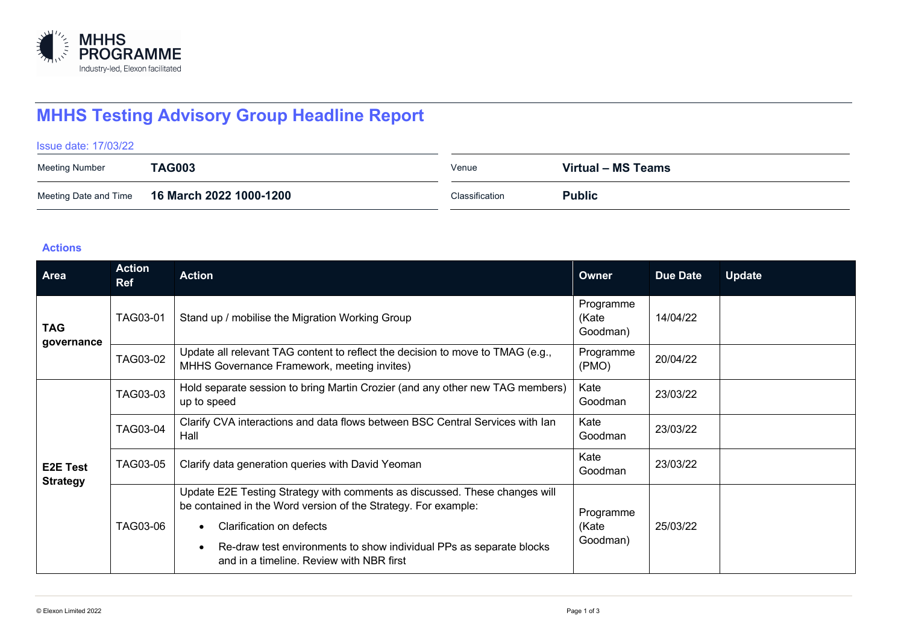

## **MHHS Testing Advisory Group Headline Report**

Issue date: 17/03/22

| <b>Meeting Number</b> | <b>TAG003</b>           | Venue          | Virtual – MS Teams |
|-----------------------|-------------------------|----------------|--------------------|
| Meeting Date and Time | 16 March 2022 1000-1200 | Classification | <b>Public</b>      |

## **Actions**

| Area                               | <b>Action</b><br><b>Ref</b> | <b>Action</b>                                                                                                                                | Owner                          | Due Date | <b>Update</b> |
|------------------------------------|-----------------------------|----------------------------------------------------------------------------------------------------------------------------------------------|--------------------------------|----------|---------------|
| <b>TAG</b><br>governance           | TAG03-01                    | Stand up / mobilise the Migration Working Group                                                                                              | Programme<br>(Kate<br>Goodman) | 14/04/22 |               |
|                                    | TAG03-02                    | Update all relevant TAG content to reflect the decision to move to TMAG (e.g.,<br>MHHS Governance Framework, meeting invites)                | Programme<br>(PMO)             | 20/04/22 |               |
| <b>E2E Test</b><br><b>Strategy</b> | TAG03-03                    | Hold separate session to bring Martin Crozier (and any other new TAG members)<br>up to speed                                                 | Kate<br>Goodman                | 23/03/22 |               |
|                                    | TAG03-04                    | Clarify CVA interactions and data flows between BSC Central Services with lan<br>Hall                                                        | Kate<br>Goodman                | 23/03/22 |               |
|                                    | TAG03-05                    | Clarify data generation queries with David Yeoman                                                                                            | Kate<br>Goodman                | 23/03/22 |               |
|                                    | TAG03-06                    | Update E2E Testing Strategy with comments as discussed. These changes will<br>be contained in the Word version of the Strategy. For example: | Programme                      |          |               |
|                                    |                             | Clarification on defects<br>Re-draw test environments to show individual PPs as separate blocks<br>and in a timeline. Review with NBR first  | 25/03/22<br>(Kate<br>Goodman)  |          |               |
|                                    |                             |                                                                                                                                              |                                |          |               |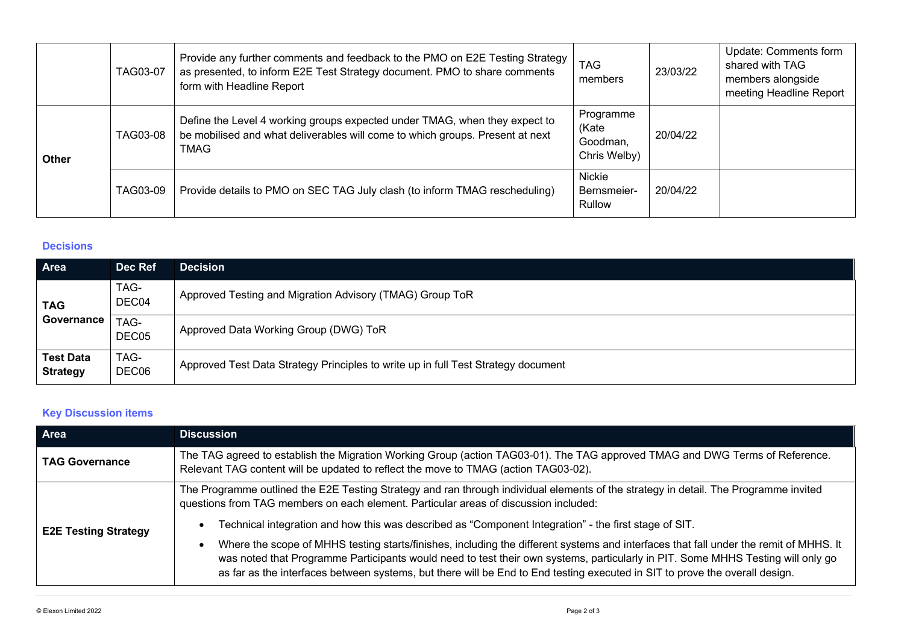|              | TAG03-07 | Provide any further comments and feedback to the PMO on E2E Testing Strategy<br>as presented, to inform E2E Test Strategy document. PMO to share comments<br>form with Headline Report | <b>TAG</b><br>members                          | 23/03/22 | Update: Comments form<br>shared with TAG<br>members alongside<br>meeting Headline Report |
|--------------|----------|----------------------------------------------------------------------------------------------------------------------------------------------------------------------------------------|------------------------------------------------|----------|------------------------------------------------------------------------------------------|
| <b>Other</b> | TAG03-08 | Define the Level 4 working groups expected under TMAG, when they expect to<br>be mobilised and what deliverables will come to which groups. Present at next<br><b>TMAG</b>             | Programme<br>(Kate<br>Goodman,<br>Chris Welby) | 20/04/22 |                                                                                          |
|              | TAG03-09 | Provide details to PMO on SEC TAG July clash (to inform TMAG rescheduling)                                                                                                             | Nickie<br>Bernsmeier-<br>Rullow                | 20/04/22 |                                                                                          |

## **Decisions**

| Area                                | Dec Ref       | <b>Decision</b>                                                                   |
|-------------------------------------|---------------|-----------------------------------------------------------------------------------|
| <b>TAG</b><br>Governance            | TAG-<br>DEC04 | Approved Testing and Migration Advisory (TMAG) Group ToR                          |
|                                     | TAG-<br>DEC05 | Approved Data Working Group (DWG) ToR                                             |
| <b>Test Data</b><br><b>Strategy</b> | TAG-<br>DEC06 | Approved Test Data Strategy Principles to write up in full Test Strategy document |

## **Key Discussion items**

| Area                        | <b>Discussion</b>                                                                                                                                                                                                                                                                                                                                                                                       |  |
|-----------------------------|---------------------------------------------------------------------------------------------------------------------------------------------------------------------------------------------------------------------------------------------------------------------------------------------------------------------------------------------------------------------------------------------------------|--|
| <b>TAG Governance</b>       | The TAG agreed to establish the Migration Working Group (action TAG03-01). The TAG approved TMAG and DWG Terms of Reference.<br>Relevant TAG content will be updated to reflect the move to TMAG (action TAG03-02).                                                                                                                                                                                     |  |
|                             | The Programme outlined the E2E Testing Strategy and ran through individual elements of the strategy in detail. The Programme invited<br>questions from TAG members on each element. Particular areas of discussion included:                                                                                                                                                                            |  |
| <b>E2E Testing Strategy</b> | Technical integration and how this was described as "Component Integration" - the first stage of SIT.                                                                                                                                                                                                                                                                                                   |  |
|                             | Where the scope of MHHS testing starts/finishes, including the different systems and interfaces that fall under the remit of MHHS. It<br>was noted that Programme Participants would need to test their own systems, particularly in PIT. Some MHHS Testing will only go<br>as far as the interfaces between systems, but there will be End to End testing executed in SIT to prove the overall design. |  |